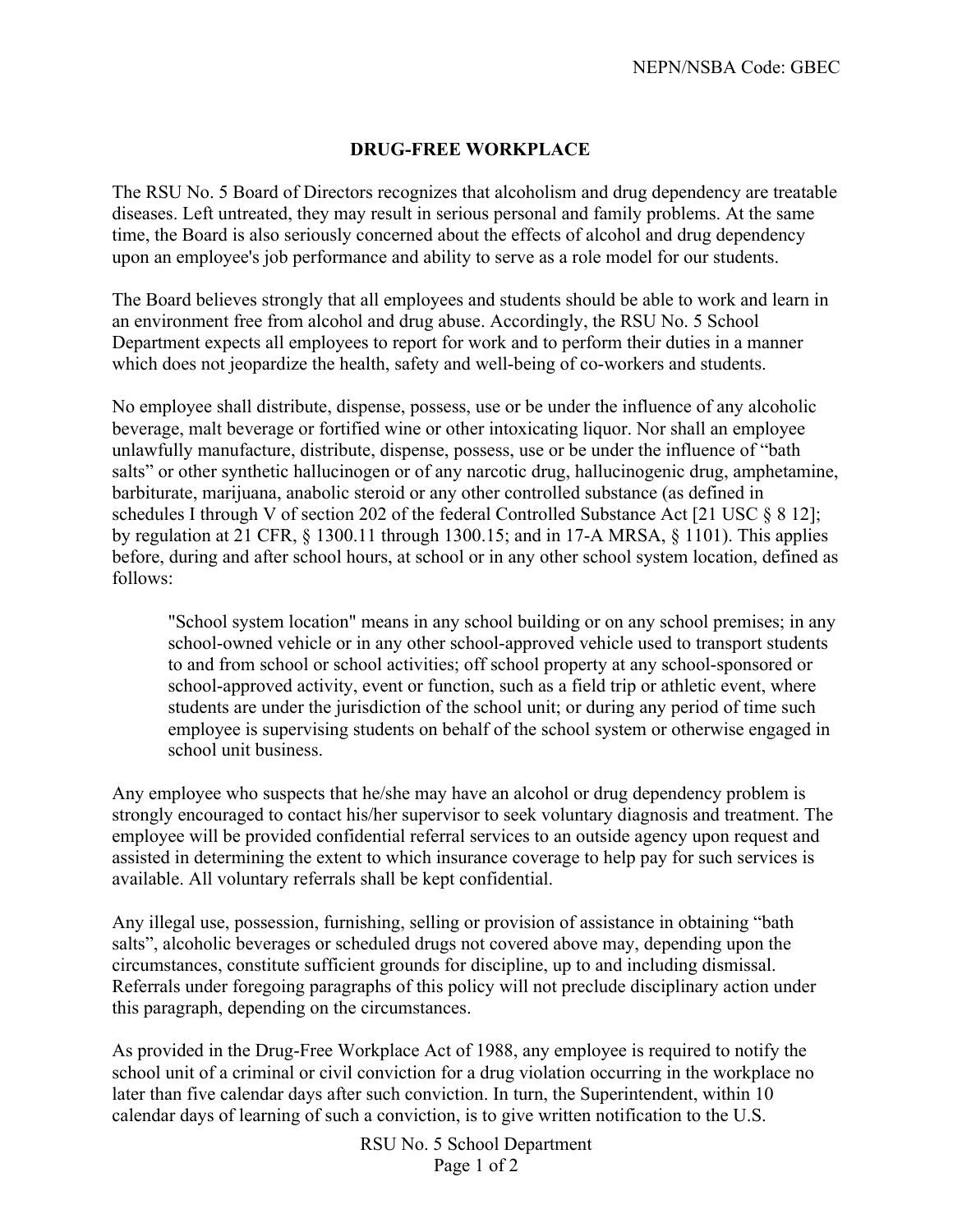## **DRUG-FREE WORKPLACE**

The RSU No. 5 Board of Directors recognizes that alcoholism and drug dependency are treatable diseases. Left untreated, they may result in serious personal and family problems. At the same time, the Board is also seriously concerned about the effects of alcohol and drug dependency upon an employee's job performance and ability to serve as a role model for our students.

The Board believes strongly that all employees and students should be able to work and learn in an environment free from alcohol and drug abuse. Accordingly, the RSU No. 5 School Department expects all employees to report for work and to perform their duties in a manner which does not jeopardize the health, safety and well-being of co-workers and students.

No employee shall distribute, dispense, possess, use or be under the influence of any alcoholic beverage, malt beverage or fortified wine or other intoxicating liquor. Nor shall an employee unlawfully manufacture, distribute, dispense, possess, use or be under the influence of "bath salts" or other synthetic hallucinogen or of any narcotic drug, hallucinogenic drug, amphetamine, barbiturate, marijuana, anabolic steroid or any other controlled substance (as defined in schedules I through V of section 202 of the federal Controlled Substance Act [21 USC § 8 12]; by regulation at 21 CFR, § 1300.11 through 1300.15; and in 17-A MRSA, § 1101). This applies before, during and after school hours, at school or in any other school system location, defined as follows:

"School system location" means in any school building or on any school premises; in any school-owned vehicle or in any other school-approved vehicle used to transport students to and from school or school activities; off school property at any school-sponsored or school-approved activity, event or function, such as a field trip or athletic event, where students are under the jurisdiction of the school unit; or during any period of time such employee is supervising students on behalf of the school system or otherwise engaged in school unit business.

Any employee who suspects that he/she may have an alcohol or drug dependency problem is strongly encouraged to contact his/her supervisor to seek voluntary diagnosis and treatment. The employee will be provided confidential referral services to an outside agency upon request and assisted in determining the extent to which insurance coverage to help pay for such services is available. All voluntary referrals shall be kept confidential.

Any illegal use, possession, furnishing, selling or provision of assistance in obtaining "bath salts", alcoholic beverages or scheduled drugs not covered above may, depending upon the circumstances, constitute sufficient grounds for discipline, up to and including dismissal. Referrals under foregoing paragraphs of this policy will not preclude disciplinary action under this paragraph, depending on the circumstances.

As provided in the Drug-Free Workplace Act of 1988, any employee is required to notify the school unit of a criminal or civil conviction for a drug violation occurring in the workplace no later than five calendar days after such conviction. In turn, the Superintendent, within 10 calendar days of learning of such a conviction, is to give written notification to the U.S.

> RSU No. 5 School Department Page 1 of 2